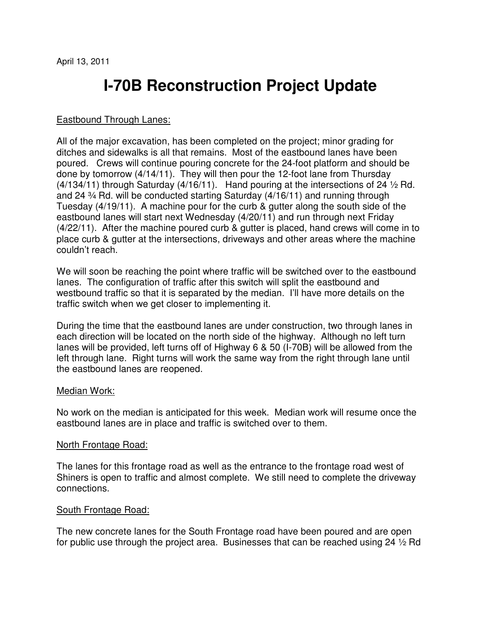# **I-70B Reconstruction Project Update**

## Eastbound Through Lanes:

All of the major excavation, has been completed on the project; minor grading for ditches and sidewalks is all that remains. Most of the eastbound lanes have been poured. Crews will continue pouring concrete for the 24-foot platform and should be done by tomorrow (4/14/11). They will then pour the 12-foot lane from Thursday  $(4/134/11)$  through Saturday  $(4/16/11)$ . Hand pouring at the intersections of 24  $\frac{1}{2}$  Rd. and 24 ¾ Rd. will be conducted starting Saturday (4/16/11) and running through Tuesday (4/19/11). A machine pour for the curb & gutter along the south side of the eastbound lanes will start next Wednesday (4/20/11) and run through next Friday (4/22/11). After the machine poured curb & gutter is placed, hand crews will come in to place curb & gutter at the intersections, driveways and other areas where the machine couldn't reach.

We will soon be reaching the point where traffic will be switched over to the eastbound lanes. The configuration of traffic after this switch will split the eastbound and westbound traffic so that it is separated by the median. I'll have more details on the traffic switch when we get closer to implementing it.

During the time that the eastbound lanes are under construction, two through lanes in each direction will be located on the north side of the highway. Although no left turn lanes will be provided, left turns off of Highway 6 & 50 (I-70B) will be allowed from the left through lane. Right turns will work the same way from the right through lane until the eastbound lanes are reopened.

#### Median Work:

No work on the median is anticipated for this week. Median work will resume once the eastbound lanes are in place and traffic is switched over to them.

#### North Frontage Road:

The lanes for this frontage road as well as the entrance to the frontage road west of Shiners is open to traffic and almost complete. We still need to complete the driveway connections.

## South Frontage Road:

The new concrete lanes for the South Frontage road have been poured and are open for public use through the project area. Businesses that can be reached using 24 ½ Rd